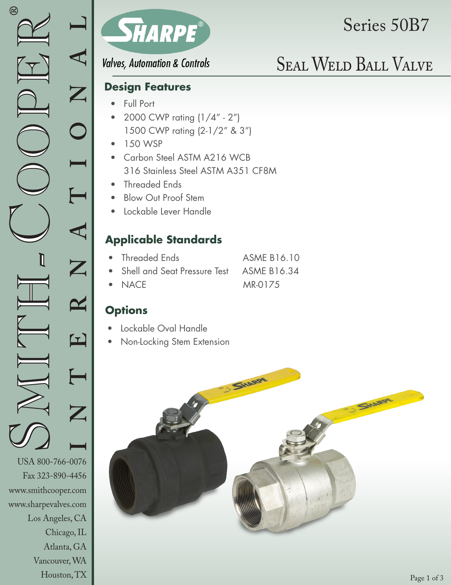Los Angeles, CA

Chicago, IL Atlanta, GA Vancouver, WA Houston, TX



# Series 50B7

**Valves, Automation & Controls** 

### **Design Features**

- Full Port
- 2000 CWP rating (1/4" 2") 1500 CWP rating (2-1/2" & 3")
- 150 WSP
- Carbon Steel ASTM A216 WCB 316 Stainless Steel ASTM A351 CF8M
- Threaded Ends
- Blow Out Proof Stem
- Lockable Lever Handle

## **Applicable Standards**

| • Threaded Ends                            | <b>ASME B16.10</b> |
|--------------------------------------------|--------------------|
| • Shell and Seat Pressure Test ASME B16.34 |                    |
| $\bullet$ NACE                             | MR-0175            |

## **Options**

- Lockable Oval Handle
- Non-Locking Stem Extension

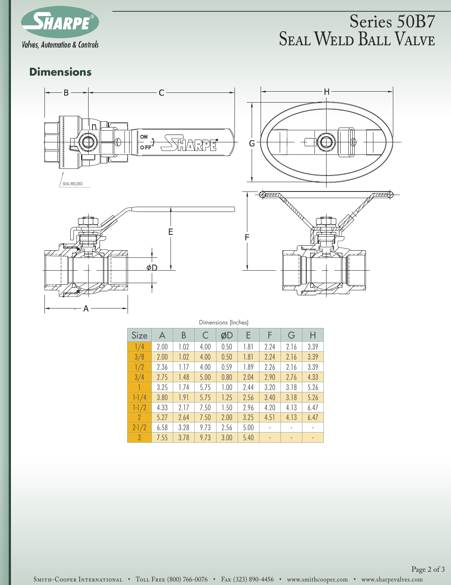

## Seal Weld Ball Valve Series 50B7

## **Dimensions**









| <b>PRINTIPLIP STREET</b> |      |      |      |      |      |      |                |      |
|--------------------------|------|------|------|------|------|------|----------------|------|
| Size                     | A    | B    | C    | ØD   | Ε    | F    | G              | Н    |
| 1/4                      | 2.00 | 1.02 | 4.00 | 0.50 | 1.81 | 2.24 | 2.16           | 3.39 |
| 3/8                      | 2.00 | 1.02 | 4.00 | 0.50 | 1.81 | 2.24 | 2.16           | 3.39 |
| 1/2                      | 2.36 | 1.17 | 4.00 | 0.59 | 1.89 | 2.26 | 2.16           | 3.39 |
| 3/4                      | 2.75 | 1.48 | 5.00 | 0.80 | 2.04 | 2.90 | 2.76           | 4.33 |
|                          | 3.25 | 1.74 | 5.75 | 1.00 | 2.44 | 3.20 | 3.18           | 5.26 |
| $1 - 1/4$                | 3.80 | 1.91 | 5.75 | 1.25 | 2.56 | 3.40 | 3.18           | 5.26 |
| $1 - 1/2$                | 4.33 | 2.17 | 7.50 | 1.50 | 2.96 | 4.20 | 4.13           | 6.47 |
| $\mathcal{P}$            | 5.27 | 2.64 | 7.50 | 2.00 | 3.25 | 4.51 | 4.13           | 6.47 |
| $2 - 1/2$                | 6.58 | 3.28 | 9.73 | 2.56 | 5.00 |      |                |      |
| $\mathbf{3}$             | 7.55 | 3.78 | 9.73 | 3.00 | 5.40 | ٠    | $\blacksquare$ |      |

SMITH-COOPER INTERNATIONAL • TOLL FREE (800) 766-0076 • FAx (323) 890-4456 • www.smithcooper.com • www.sharpevalves.com Page 2 of 3